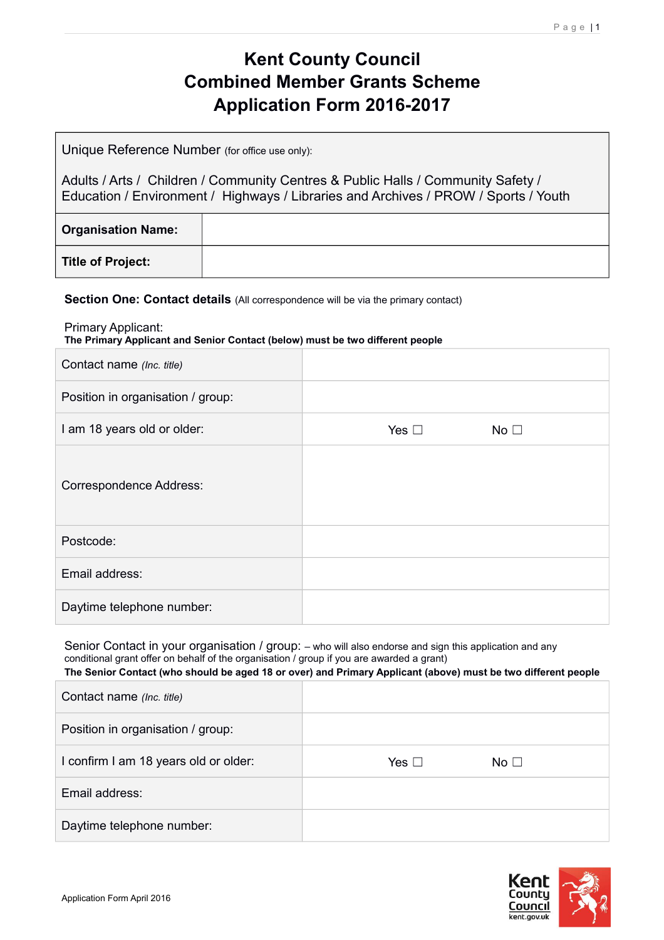# **Kent County Council Combined Member Grants Scheme Application Form 2016-2017**

Unique Reference Number (for office use only):

Adults / Arts / Children / Community Centres & Public Halls / Community Safety / Education / Environment / Highways / Libraries and Archives / PROW / Sports / Youth

| <b>Organisation Name:</b> |  |
|---------------------------|--|
| <b>Title of Project:</b>  |  |

#### **Section One: Contact details** (All correspondence will be via the primary contact)

Primary Applicant:

**The Primary Applicant and Senior Contact (below) must be two different people**

| Contact name (Inc. title)         |               |                 |  |
|-----------------------------------|---------------|-----------------|--|
| Position in organisation / group: |               |                 |  |
| I am 18 years old or older:       | Yes $\square$ | No <sub>1</sub> |  |
| <b>Correspondence Address:</b>    |               |                 |  |
| Postcode:                         |               |                 |  |
| Email address:                    |               |                 |  |
| Daytime telephone number:         |               |                 |  |

Senior Contact in your organisation / group: – who will also endorse and sign this application and any conditional grant offer on behalf of the organisation / group if you are awarded a grant)

| The Senior Contact (who should be aged 18 or over) and Primary Applicant (above) must be two different people |
|---------------------------------------------------------------------------------------------------------------|
|                                                                                                               |

| Contact name (Inc. title)             |            |              |  |
|---------------------------------------|------------|--------------|--|
| Position in organisation / group:     |            |              |  |
| I confirm I am 18 years old or older: | Yes $\Box$ | No $\square$ |  |
| Email address:                        |            |              |  |
| Daytime telephone number:             |            |              |  |

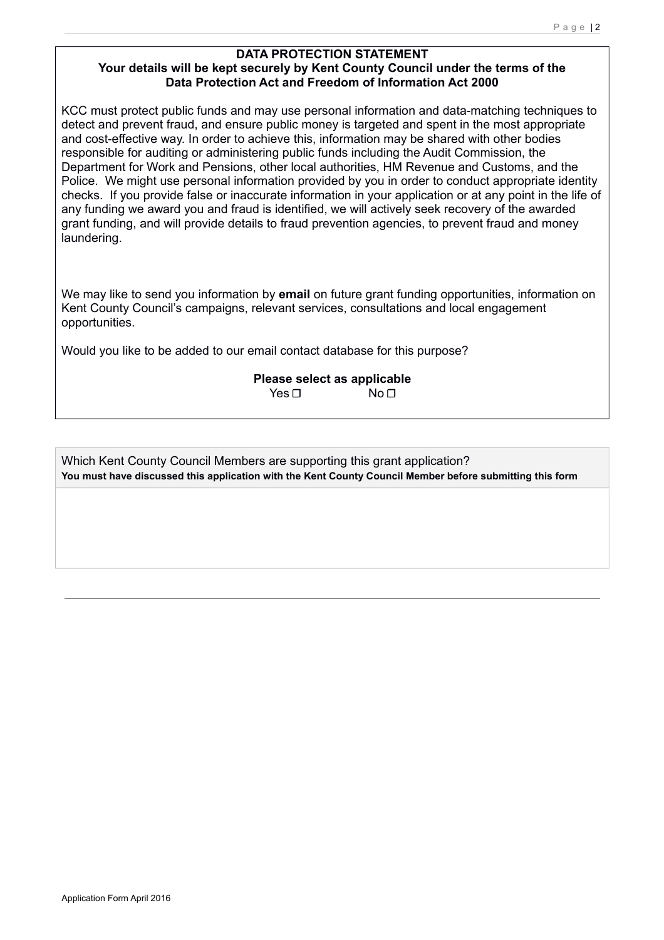#### **DATA PROTECTION STATEMENT Your details will be kept securely by Kent County Council under the terms of the Data Protection Act and Freedom of Information Act 2000**

KCC must protect public funds and may use personal information and data-matching techniques to detect and prevent fraud, and ensure public money is targeted and spent in the most appropriate and cost-effective way. In order to achieve this, information may be shared with other bodies responsible for auditing or administering public funds including the Audit Commission, the Department for Work and Pensions, other local authorities, HM Revenue and Customs, and the Police. We might use personal information provided by you in order to conduct appropriate identity checks. If you provide false or inaccurate information in your application or at any point in the life of any funding we award you and fraud is identified, we will actively seek recovery of the awarded grant funding, and will provide details to fraud prevention agencies, to prevent fraud and money laundering.

We may like to send you information by **email** on future grant funding opportunities, information on Kent County Council's campaigns, relevant services, consultations and local engagement opportunities.

Would you like to be added to our email contact database for this purpose?

**Please select as applicable** Yes □ No □

Which Kent County Council Members are supporting this grant application? **You must have discussed this application with the Kent County Council Member before submitting this form**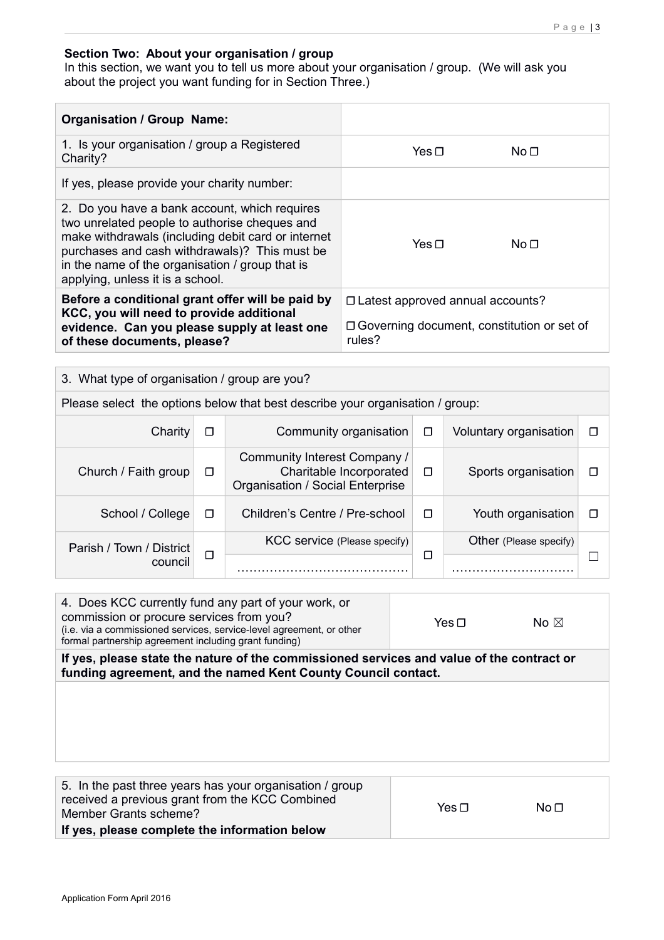#### **Section Two: About your organisation / group**

In this section, we want you to tell us more about your organisation / group. (We will ask you about the project you want funding for in Section Three.)

| <b>Organisation / Group Name:</b>                                                                                                                                                                                                                                                            |                                                             |                 |  |
|----------------------------------------------------------------------------------------------------------------------------------------------------------------------------------------------------------------------------------------------------------------------------------------------|-------------------------------------------------------------|-----------------|--|
| 1. Is your organisation / group a Registered<br>Charity?                                                                                                                                                                                                                                     | Yes $\sqcap$                                                | No <sub>1</sub> |  |
| If yes, please provide your charity number:                                                                                                                                                                                                                                                  |                                                             |                 |  |
| 2. Do you have a bank account, which requires<br>two unrelated people to authorise cheques and<br>make withdrawals (including debit card or internet<br>purchases and cash withdrawals)? This must be<br>in the name of the organisation / group that is<br>applying, unless it is a school. | Yes $\sqcap$                                                | No <sub>1</sub> |  |
| Before a conditional grant offer will be paid by<br>KCC, you will need to provide additional                                                                                                                                                                                                 | □ Latest approved annual accounts?                          |                 |  |
| evidence. Can you please supply at least one<br>of these documents, please?                                                                                                                                                                                                                  | $\Box$ Governing document, constitution or set of<br>rules? |                 |  |

| 3. What type of organisation / group are you? |        |                                                                                             |   |                        |   |
|-----------------------------------------------|--------|---------------------------------------------------------------------------------------------|---|------------------------|---|
|                                               |        | Please select the options below that best describe your organisation / group:               |   |                        |   |
| Charity                                       | □      | Community organisation                                                                      | □ | Voluntary organisation | П |
| Church / Faith group                          | □      | Community Interest Company /<br>Charitable Incorporated<br>Organisation / Social Enterprise | П | Sports organisation    | Г |
| School / College                              | □      | Children's Centre / Pre-school                                                              | П | Youth organisation     | П |
| Parish / Town / District                      |        | KCC service (Please specify)                                                                |   | Other (Please specify) |   |
| council                                       | $\Box$ |                                                                                             | □ |                        |   |

| 4. Does KCC currently fund any part of your work, or                 |            |                |
|----------------------------------------------------------------------|------------|----------------|
| commission or procure services from you?                             | Yes $\Box$ | No $\boxtimes$ |
| (i.e. via a commissioned services, service-level agreement, or other |            |                |
| formal partnership agreement including grant funding)                |            |                |

**If yes, please state the nature of the commissioned services and value of the contract or funding agreement, and the named Kent County Council contact.**

| 5. In the past three years has your organisation / group<br>received a previous grant from the KCC Combined<br>Member Grants scheme? | Yes $\sqcap$ | No <sub>1</sub> |
|--------------------------------------------------------------------------------------------------------------------------------------|--------------|-----------------|
| If yes, please complete the information below                                                                                        |              |                 |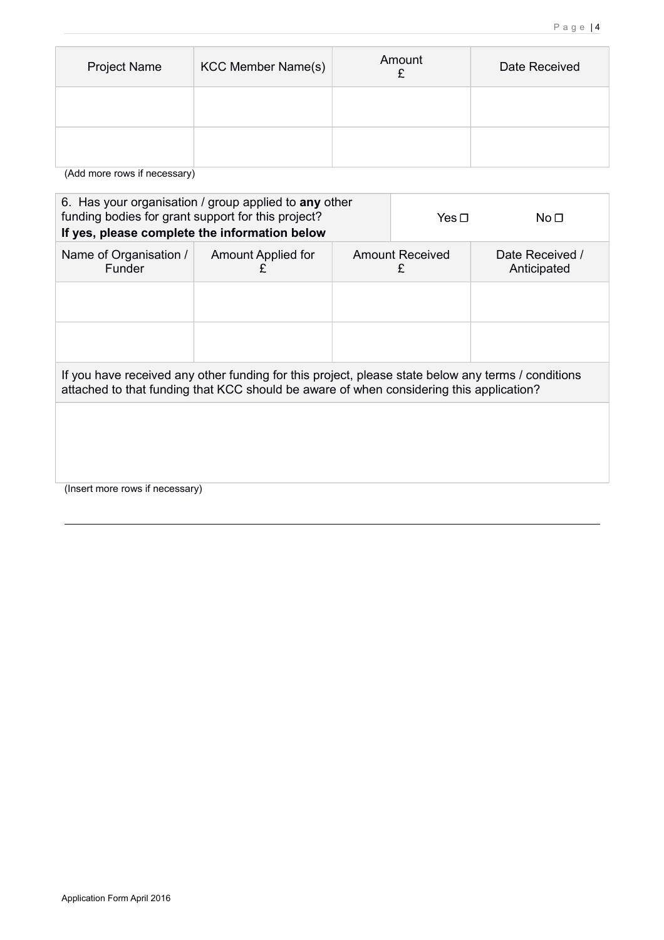| Project Name | <b>KCC Member Name(s)</b> | Amount | Date Received |
|--------------|---------------------------|--------|---------------|
|              |                           |        |               |
|              |                           |        |               |

(Add more rows if necessary)

| 6. Has your organisation / group applied to any other<br>funding bodies for grant support for this project?<br>If yes, please complete the information below                                  |                                |                             | Yes $\sqcap$ | No <sub>1</sub> |  |                                |
|-----------------------------------------------------------------------------------------------------------------------------------------------------------------------------------------------|--------------------------------|-----------------------------|--------------|-----------------|--|--------------------------------|
| Name of Organisation /<br>Funder                                                                                                                                                              | <b>Amount Applied for</b><br>£ | <b>Amount Received</b><br>£ |              |                 |  | Date Received /<br>Anticipated |
|                                                                                                                                                                                               |                                |                             |              |                 |  |                                |
|                                                                                                                                                                                               |                                |                             |              |                 |  |                                |
| If you have received any other funding for this project, please state below any terms / conditions<br>attached to that funding that KCC should be aware of when considering this application? |                                |                             |              |                 |  |                                |
|                                                                                                                                                                                               |                                |                             |              |                 |  |                                |
|                                                                                                                                                                                               |                                |                             |              |                 |  |                                |
| (Insert more rows if necessary)                                                                                                                                                               |                                |                             |              |                 |  |                                |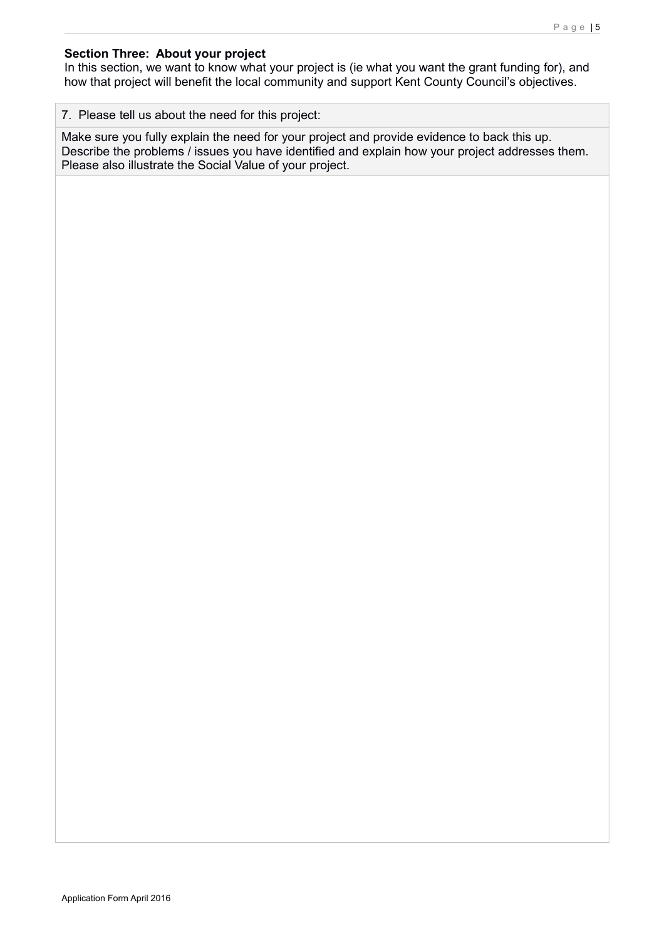#### **Section Three: About your project**

In this section, we want to know what your project is (ie what you want the grant funding for), and how that project will benefit the local community and support Kent County Council's objectives.

#### 7. Please tell us about the need for this project:

Make sure you fully explain the need for your project and provide evidence to back this up. Describe the problems / issues you have identified and explain how your project addresses them. Please also illustrate the Social Value of your project.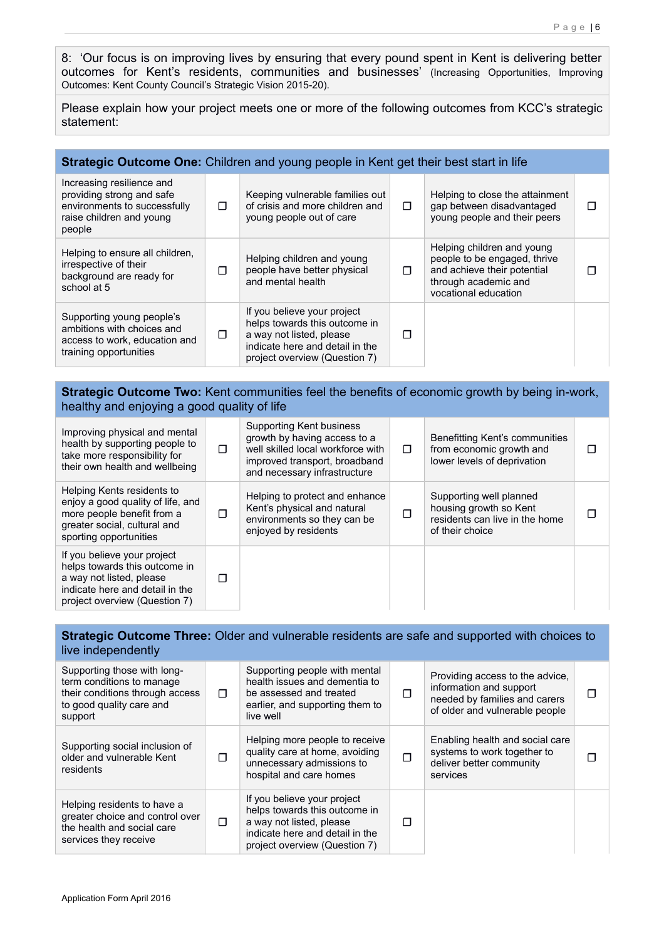8: 'Our focus is on improving lives by ensuring that every pound spent in Kent is delivering better outcomes for Kent's residents, communities and businesses' (Increasing Opportunities, Improving Outcomes: Kent County Council's Strategic Vision 2015-20).

Please explain how your project meets one or more of the following outcomes from KCC's strategic statement:

# **Strategic Outcome One:** Children and young people in Kent get their best start in life

| Increasing resilience and<br>providing strong and safe<br>environments to successfully<br>raise children and young<br>people | п | Keeping vulnerable families out<br>of crisis and more children and<br>young people out of care                                                               | $\Box$ | Helping to close the attainment<br>gap between disadvantaged<br>young people and their peers                                              |  |
|------------------------------------------------------------------------------------------------------------------------------|---|--------------------------------------------------------------------------------------------------------------------------------------------------------------|--------|-------------------------------------------------------------------------------------------------------------------------------------------|--|
| Helping to ensure all children,<br>irrespective of their<br>background are ready for<br>school at 5                          | п | Helping children and young<br>people have better physical<br>and mental health                                                                               | п      | Helping children and young<br>people to be engaged, thrive<br>and achieve their potential<br>through academic and<br>vocational education |  |
| Supporting young people's<br>ambitions with choices and<br>access to work, education and<br>training opportunities           | п | If you believe your project<br>helps towards this outcome in<br>a way not listed, please<br>indicate here and detail in the<br>project overview (Question 7) | п      |                                                                                                                                           |  |

#### **Strategic Outcome Two:** Kent communities feel the benefits of economic growth by being in-work, healthy and enjoying a good quality of life

| Improving physical and mental<br>health by supporting people to<br>take more responsibility for<br>their own health and wellbeing                            | ⊓ | Supporting Kent business<br>growth by having access to a<br>well skilled local workforce with<br>improved transport, broadband<br>and necessary infrastructure | $\Box$ | Benefitting Kent's communities<br>from economic growth and<br>lower levels of deprivation              | П |
|--------------------------------------------------------------------------------------------------------------------------------------------------------------|---|----------------------------------------------------------------------------------------------------------------------------------------------------------------|--------|--------------------------------------------------------------------------------------------------------|---|
| Helping Kents residents to<br>enjoy a good quality of life, and<br>more people benefit from a<br>greater social, cultural and<br>sporting opportunities      | П | Helping to protect and enhance<br>Kent's physical and natural<br>environments so they can be<br>enjoyed by residents                                           | п      | Supporting well planned<br>housing growth so Kent<br>residents can live in the home<br>of their choice |   |
| If you believe your project<br>helps towards this outcome in<br>a way not listed, please<br>indicate here and detail in the<br>project overview (Question 7) | п |                                                                                                                                                                |        |                                                                                                        |   |

#### **Strategic Outcome Three:** Older and vulnerable residents are safe and supported with choices to live independently

| Supporting those with long-<br>term conditions to manage<br>their conditions through access<br>to good quality care and<br>support | п | Supporting people with mental<br>health issues and dementia to<br>be assessed and treated<br>earlier, and supporting them to<br>live well                    | ⊓ | Providing access to the advice,<br>information and support<br>needed by families and carers<br>of older and vulnerable people |  |
|------------------------------------------------------------------------------------------------------------------------------------|---|--------------------------------------------------------------------------------------------------------------------------------------------------------------|---|-------------------------------------------------------------------------------------------------------------------------------|--|
| Supporting social inclusion of<br>older and vulnerable Kent<br>residents                                                           | П | Helping more people to receive<br>quality care at home, avoiding<br>unnecessary admissions to<br>hospital and care homes                                     | П | Enabling health and social care<br>systems to work together to<br>deliver better community<br>services                        |  |
| Helping residents to have a<br>greater choice and control over<br>the health and social care<br>services they receive              | п | If you believe your project<br>helps towards this outcome in<br>a way not listed, please<br>indicate here and detail in the<br>project overview (Question 7) | П |                                                                                                                               |  |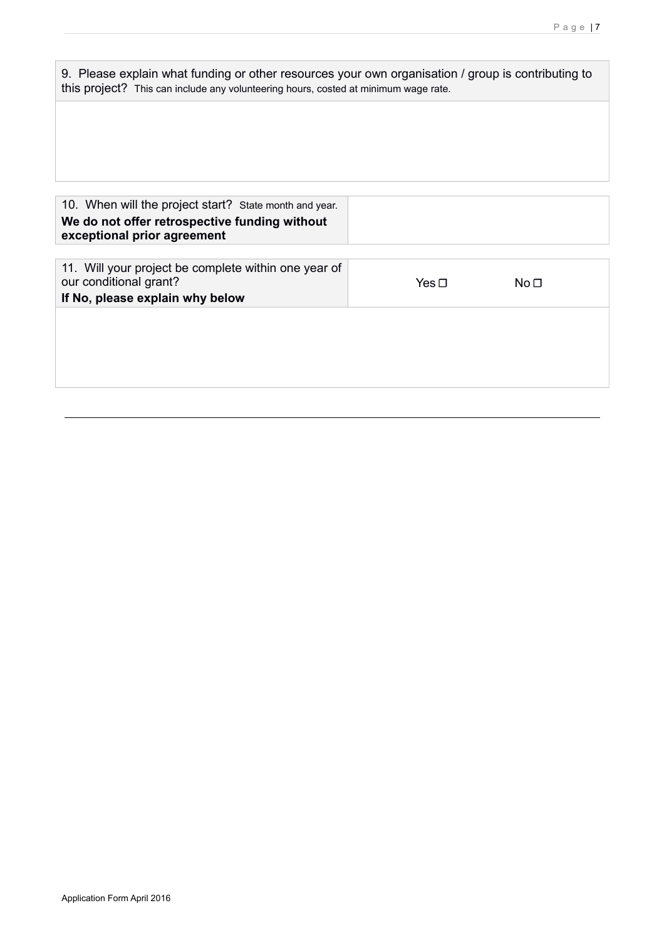| 9. Please explain what funding or other resources your own organisation / group is contributing to |
|----------------------------------------------------------------------------------------------------|
| this project? This can include any volunteering hours, costed at minimum wage rate.                |

| 10. When will the project start? State month and year.<br>We do not offer retrospective funding without<br>exceptional prior agreement |            |                 |
|----------------------------------------------------------------------------------------------------------------------------------------|------------|-----------------|
| 11. Will your project be complete within one year of<br>our conditional grant?<br>If No, please explain why below                      | Yes $\Box$ | No <sub>1</sub> |
|                                                                                                                                        |            |                 |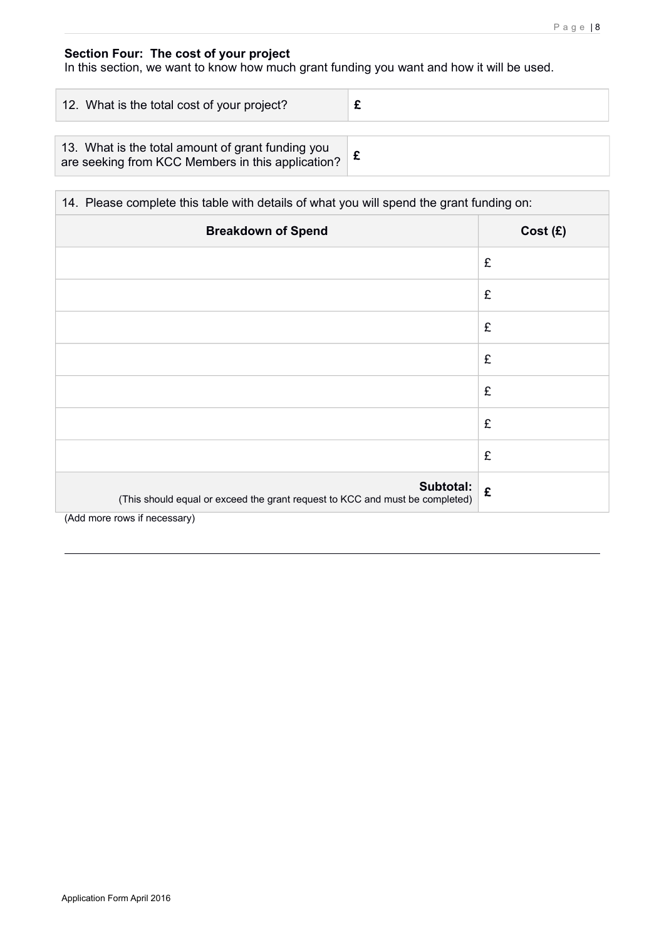### **Section Four: The cost of your project**

In this section, we want to know how much grant funding you want and how it will be used.

| 12. What is the total cost of your project?                                                            |  |  |  |
|--------------------------------------------------------------------------------------------------------|--|--|--|
|                                                                                                        |  |  |  |
| 13. What is the total amount of grant funding you<br>are seeking from KCC Members in this application? |  |  |  |

| 14. Please complete this table with details of what you will spend the grant funding on:  |         |  |  |  |  |
|-------------------------------------------------------------------------------------------|---------|--|--|--|--|
| <b>Breakdown of Spend</b>                                                                 | Cost(E) |  |  |  |  |
|                                                                                           | £       |  |  |  |  |
|                                                                                           | £       |  |  |  |  |
|                                                                                           | £       |  |  |  |  |
|                                                                                           | £       |  |  |  |  |
|                                                                                           | £       |  |  |  |  |
|                                                                                           | £       |  |  |  |  |
|                                                                                           | £       |  |  |  |  |
| Subtotal:<br>(This should equal or exceed the grant request to KCC and must be completed) | £       |  |  |  |  |

(Add more rows if necessary)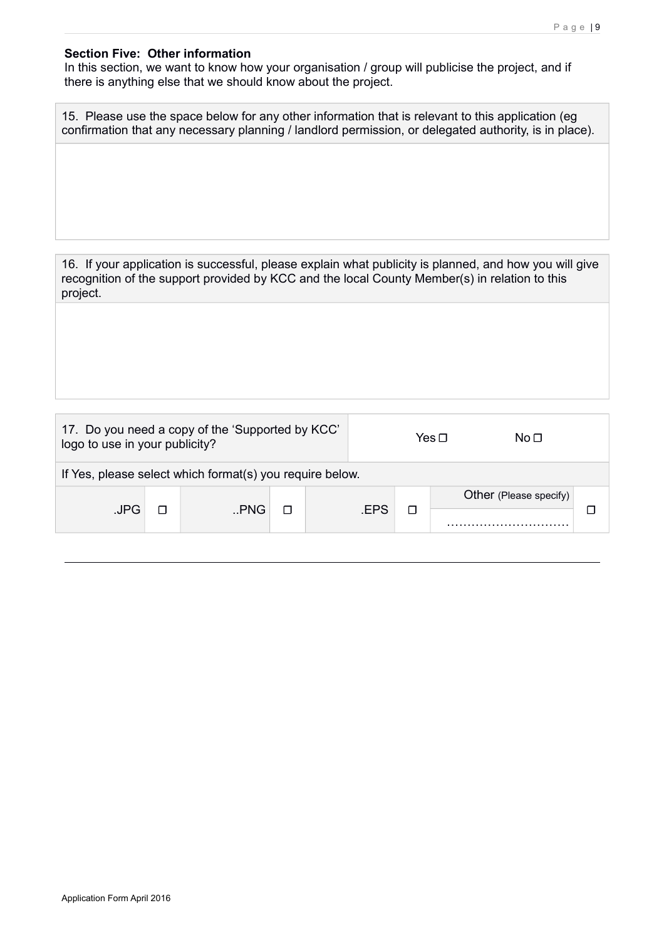#### **Section Five: Other information**

In this section, we want to know how your organisation / group will publicise the project, and if there is anything else that we should know about the project.

| 15. Please use the space below for any other information that is relevant to this application (eg)    |  |  |  |
|-------------------------------------------------------------------------------------------------------|--|--|--|
| confirmation that any necessary planning / landlord permission, or delegated authority, is in place). |  |  |  |

16. If your application is successful, please explain what publicity is planned, and how you will give recognition of the support provided by KCC and the local County Member(s) in relation to this project.

| 17. Do you need a copy of the 'Supported by KCC'<br>logo to use in your publicity? |  |       |                                      |  | Yes ⊓<br>No <sub>1</sub> |  |  |
|------------------------------------------------------------------------------------|--|-------|--------------------------------------|--|--------------------------|--|--|
| If Yes, please select which format(s) you require below.                           |  |       |                                      |  |                          |  |  |
| .JPG                                                                               |  | n.PNG | Other (Please specify)<br><b>FPS</b> |  |                          |  |  |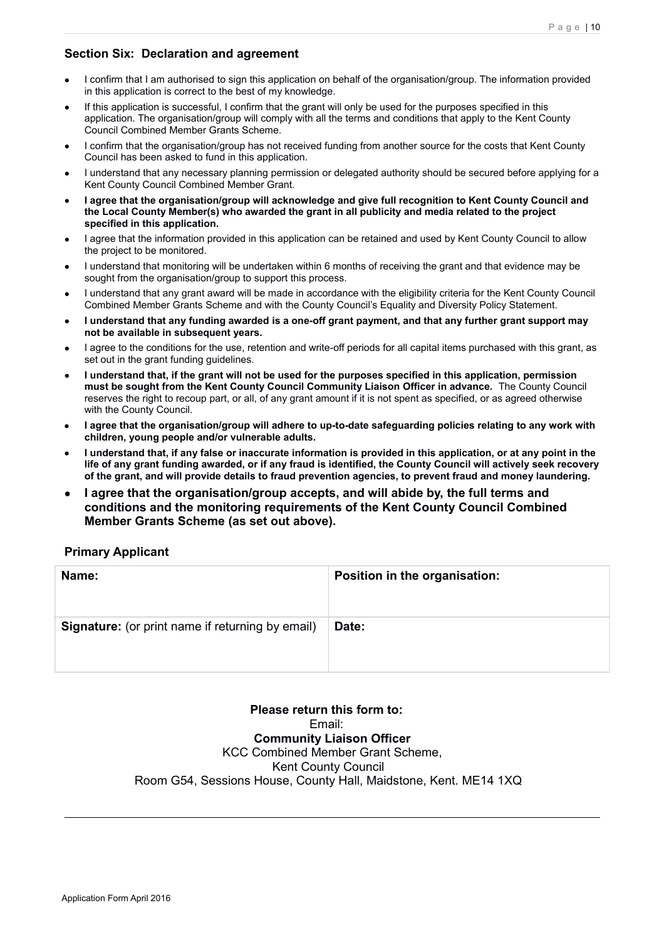## **Section Six: Declaration and agreement**

- I confirm that I am authorised to sign this application on behalf of the organisation/group. The information provided in this application is correct to the best of my knowledge.
- If this application is successful, I confirm that the grant will only be used for the purposes specified in this application. The organisation/group will comply with all the terms and conditions that apply to the Kent County Council Combined Member Grants Scheme.
- I confirm that the organisation/group has not received funding from another source for the costs that Kent County Council has been asked to fund in this application.
- I understand that any necessary planning permission or delegated authority should be secured before applying for a Kent County Council Combined Member Grant.
- **I agree that the organisation/group will acknowledge and give full recognition to Kent County Council and the Local County Member(s) who awarded the grant in all publicity and media related to the project specified in this application.**
- I agree that the information provided in this application can be retained and used by Kent County Council to allow the project to be monitored.
- I understand that monitoring will be undertaken within 6 months of receiving the grant and that evidence may be sought from the organisation/group to support this process.
- I understand that any grant award will be made in accordance with the eligibility criteria for the Kent County Council Combined Member Grants Scheme and with the County Council's Equality and Diversity Policy Statement.
- **I understand that any funding awarded is a one-off grant payment, and that any further grant support may not be available in subsequent years.**
- I agree to the conditions for the use, retention and write-off periods for all capital items purchased with this grant, as set out in the grant funding guidelines.
- **I understand that, if the grant will not be used for the purposes specified in this application, permission must be sought from the Kent County Council Community Liaison Officer in advance.** The County Council reserves the right to recoup part, or all, of any grant amount if it is not spent as specified, or as agreed otherwise with the County Council.
- **I agree that the organisation/group will adhere to up-to-date safeguarding policies relating to any work with children, young people and/or vulnerable adults.**
- **I understand that, if any false or inaccurate information is provided in this application, or at any point in the life of any grant funding awarded, or if any fraud is identified, the County Council will actively seek recovery of the grant, and will provide details to fraud prevention agencies, to prevent fraud and money laundering.**
- **I agree that the organisation/group accepts, and will abide by, the full terms and conditions and the monitoring requirements of the Kent County Council Combined Member Grants Scheme (as set out above).**

#### **Primary Applicant**

| Name:                                                   | Position in the organisation: |
|---------------------------------------------------------|-------------------------------|
| <b>Signature:</b> (or print name if returning by email) | Date:                         |

**Please return this form to:**  Email: **Community Liaison Officer** KCC Combined Member Grant Scheme, Kent County Council Room G54, Sessions House, County Hall, Maidstone, Kent. ME14 1XQ